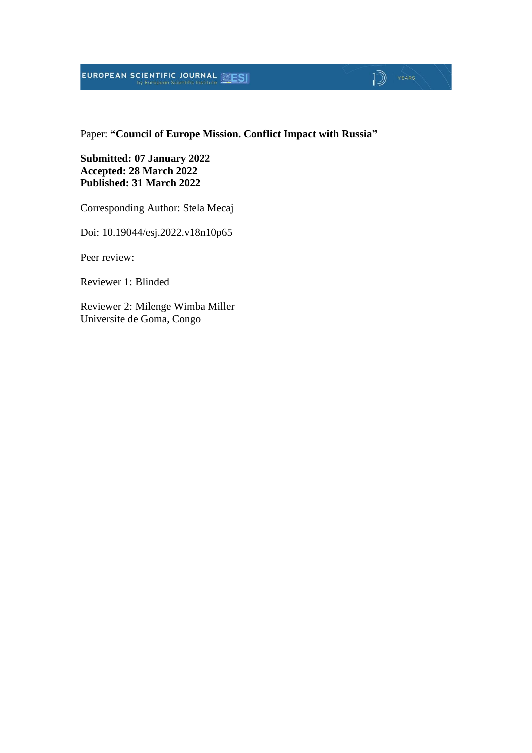# **EUROPEAN SCIENTIFIC JOURNAL EXESI**

#### Paper: **"Council of Europe Mission. Conflict Impact with Russia"**

 $\sqrt{2}$   $\sqrt{2}$ 

**Submitted: 07 January 2022 Accepted: 28 March 2022 Published: 31 March 2022**

Corresponding Author: Stela Mecaj

Doi: 10.19044/esj.2022.v18n10p65

Peer review:

Reviewer 1: Blinded

Reviewer 2: Milenge Wimba Miller Universite de Goma, Congo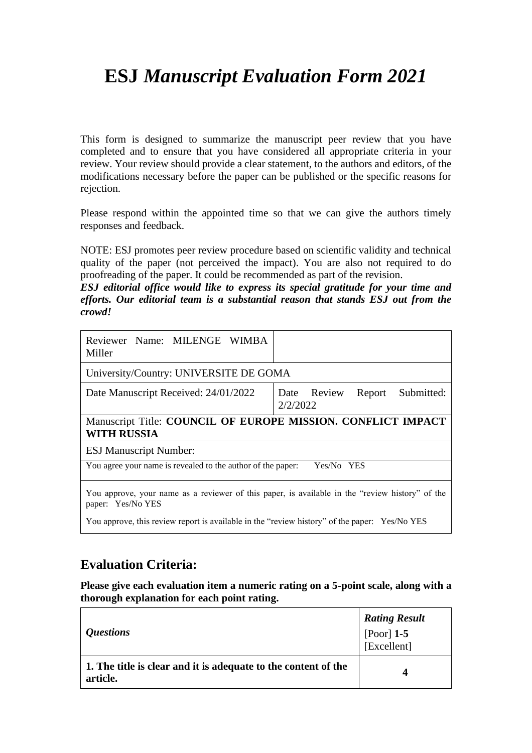# **ESJ** *Manuscript Evaluation Form 2021*

This form is designed to summarize the manuscript peer review that you have completed and to ensure that you have considered all appropriate criteria in your review. Your review should provide a clear statement, to the authors and editors, of the modifications necessary before the paper can be published or the specific reasons for rejection.

Please respond within the appointed time so that we can give the authors timely responses and feedback.

NOTE: ESJ promotes peer review procedure based on scientific validity and technical quality of the paper (not perceived the impact). You are also not required to do proofreading of the paper. It could be recommended as part of the revision.

*ESJ editorial office would like to express its special gratitude for your time and efforts. Our editorial team is a substantial reason that stands ESJ out from the crowd!*

| Reviewer Name: MILENGE WIMBA<br>Miller                                                                               |                                              |  |  |
|----------------------------------------------------------------------------------------------------------------------|----------------------------------------------|--|--|
| University/Country: UNIVERSITE DE GOMA                                                                               |                                              |  |  |
| Date Manuscript Received: 24/01/2022                                                                                 | Report Submitted:<br>Date Review<br>2/2/2022 |  |  |
| Manuscript Title: COUNCIL OF EUROPE MISSION. CONFLICT IMPACT<br><b>WITH RUSSIA</b>                                   |                                              |  |  |
| <b>ESJ Manuscript Number:</b>                                                                                        |                                              |  |  |
| You agree your name is revealed to the author of the paper:<br>Yes/No YES                                            |                                              |  |  |
| You approve, your name as a reviewer of this paper, is available in the "review history" of the<br>paper: Yes/No YES |                                              |  |  |
| You approve, this review report is available in the "review history" of the paper: Yes/No YES                        |                                              |  |  |

### **Evaluation Criteria:**

**Please give each evaluation item a numeric rating on a 5-point scale, along with a thorough explanation for each point rating.**

| <i><b>Ouestions</b></i>                                                    | <b>Rating Result</b><br>[Poor] 1-5<br>[Excellent] |
|----------------------------------------------------------------------------|---------------------------------------------------|
| 1. The title is clear and it is adequate to the content of the<br>article. | Δ                                                 |